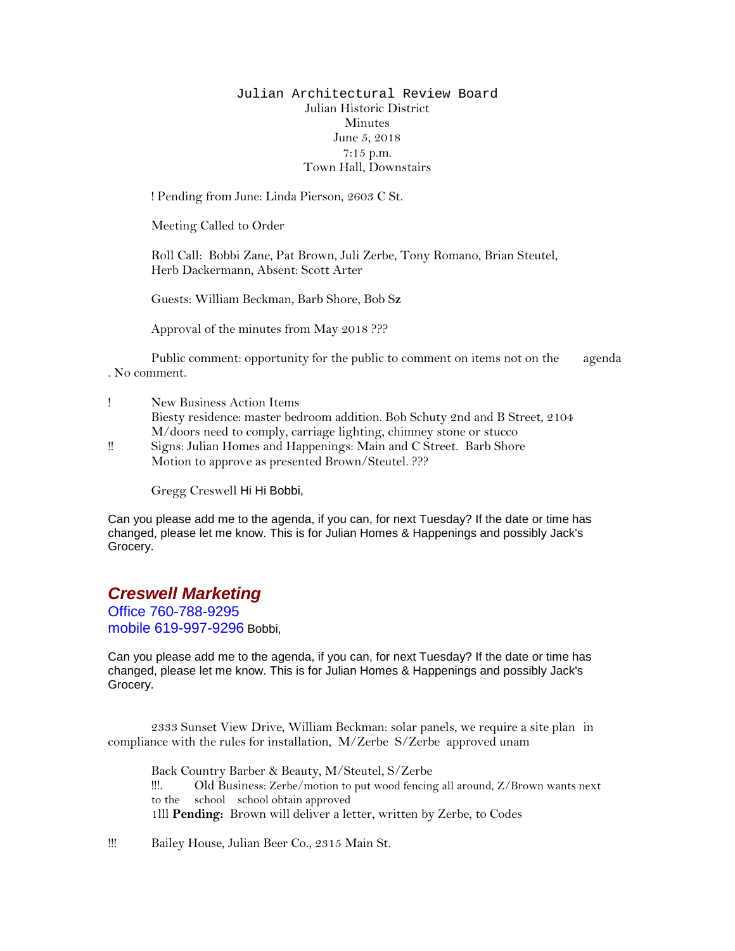## Julian Architectural Review Board Julian Historic District Minutes June 5, 2018 7:15 p.m. Town Hall, Downstairs

! Pending from June: Linda Pierson, 2603 C St.

Meeting Called to Order

Roll Call: Bobbi Zane, Pat Brown, Juli Zerbe, Tony Romano, Brian Steutel, Herb Dackermann, Absent: Scott Arter

Guests: William Beckman, Barb Shore, Bob S**z**

Approval of the minutes from May 2018 ???

Public comment: opportunity for the public to comment on items not on the agenda . No comment.

- ! New Business Action Items Biesty residence: master bedroom addition. Bob Schuty 2nd and B Street, 2104 M/doors need to comply, carriage lighting, chimney stone or stucco
- !! Signs: Julian Homes and Happenings: Main and C Street. Barb Shore Motion to approve as presented Brown/Steutel. ???

Gregg Creswell Hi Hi Bobbi,

Can you please add me to the agenda, if you can, for next Tuesday? If the date or time has changed, please let me know. This is for Julian Homes & Happenings and possibly Jack's Grocery.

## *Creswell Marketing*

Office 760-788-9295 mobile 619-997-9296 Bobbi,

Can you please add me to the agenda, if you can, for next Tuesday? If the date or time has changed, please let me know. This is for Julian Homes & Happenings and possibly Jack's Grocery.

2333 Sunset View Drive, William Beckman: solar panels, we require a site plan in compliance with the rules for installation, M/Zerbe S/Zerbe approved unam

Back Country Barber & Beauty, M/Steutel, S/Zerbe !!!. Old Business: Zerbe/motion to put wood fencing all around, Z/Brown wants next to the school school obtain approved 1lll **Pending:** Brown will deliver a letter, written by Zerbe, to Codes

!!! Bailey House, Julian Beer Co., 2315 Main St.